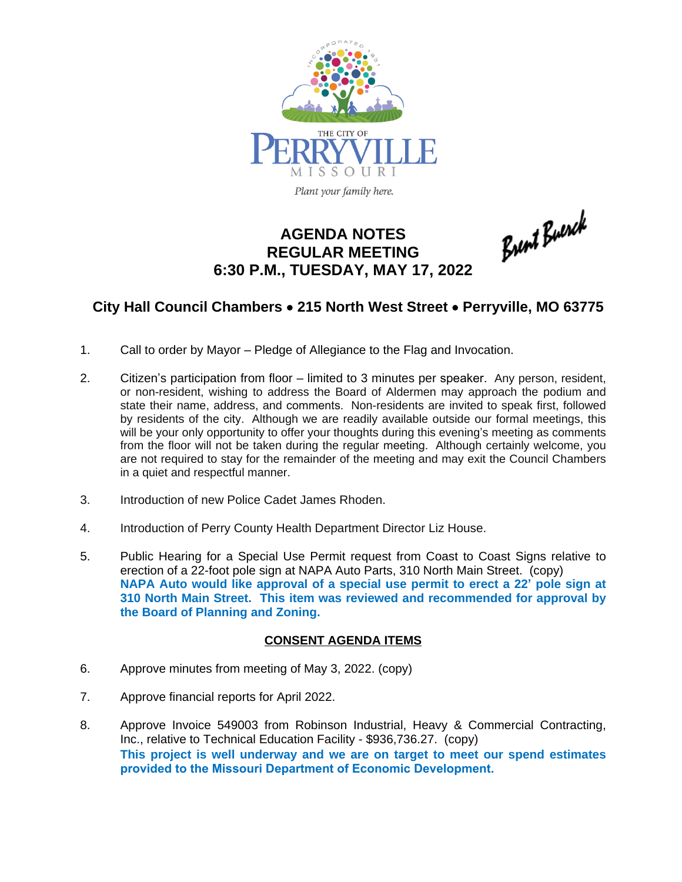

# **AGENDA NOTES REGULAR MEETING 6:30 P.M., TUESDAY, MAY 17, 2022**

Brent Buerck

## **City Hall Council Chambers** · **215 North West Street** · **Perryville, MO 63775**

- 1. Call to order by Mayor Pledge of Allegiance to the Flag and Invocation.
- 2. Citizen's participation from floor limited to 3 minutes per speaker. Any person, resident, or non-resident, wishing to address the Board of Aldermen may approach the podium and state their name, address, and comments. Non-residents are invited to speak first, followed by residents of the city. Although we are readily available outside our formal meetings, this will be your only opportunity to offer your thoughts during this evening's meeting as comments from the floor will not be taken during the regular meeting. Although certainly welcome, you are not required to stay for the remainder of the meeting and may exit the Council Chambers in a quiet and respectful manner.
- 3. Introduction of new Police Cadet James Rhoden.
- 4. Introduction of Perry County Health Department Director Liz House.
- 5. Public Hearing for a Special Use Permit request from Coast to Coast Signs relative to erection of a 22-foot pole sign at NAPA Auto Parts, 310 North Main Street. (copy) **NAPA Auto would like approval of a special use permit to erect a 22' pole sign at 310 North Main Street. This item was reviewed and recommended for approval by the Board of Planning and Zoning.**

### **CONSENT AGENDA ITEMS**

- 6. Approve minutes from meeting of May 3, 2022. (copy)
- 7. Approve financial reports for April 2022.
- 8. Approve Invoice 549003 from Robinson Industrial, Heavy & Commercial Contracting, Inc., relative to Technical Education Facility - \$936,736.27. (copy) **This project is well underway and we are on target to meet our spend estimates provided to the Missouri Department of Economic Development.**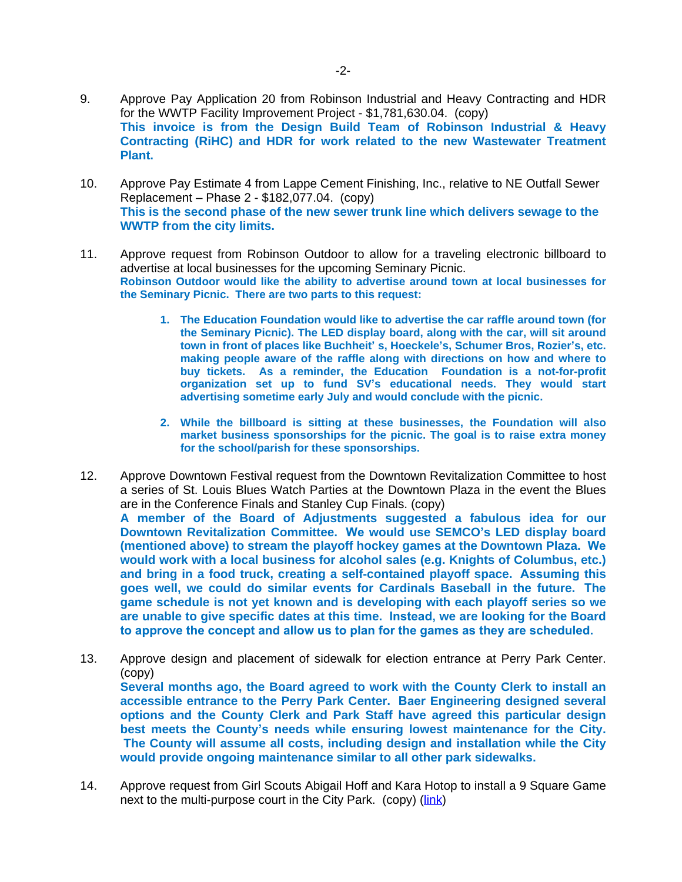- 9. Approve Pay Application 20 from Robinson Industrial and Heavy Contracting and HDR for the WWTP Facility Improvement Project - \$1,781,630.04. (copy) **This invoice is from the Design Build Team of Robinson Industrial & Heavy Contracting (RiHC) and HDR for work related to the new Wastewater Treatment Plant.**
- 10. Approve Pay Estimate 4 from Lappe Cement Finishing, Inc., relative to NE Outfall Sewer Replacement – Phase 2 - \$182,077.04. (copy) **This is the second phase of the new sewer trunk line which delivers sewage to the WWTP from the city limits.**
- 11. Approve request from Robinson Outdoor to allow for a traveling electronic billboard to advertise at local businesses for the upcoming Seminary Picnic. **Robinson Outdoor would like the ability to advertise around town at local businesses for the Seminary Picnic. There are two parts to this request:**
	- **1. The Education Foundation would like to advertise the car raffle around town (for the Seminary Picnic). The LED display board, along with the car, will sit around town in front of places like Buchheit' s, Hoeckele's, Schumer Bros, Rozier's, etc. making people aware of the raffle along with directions on how and where to buy tickets. As a reminder, the Education Foundation is a not-for-profit organization set up to fund SV's educational needs. They would start advertising sometime early July and would conclude with the picnic.**
	- **2. While the billboard is sitting at these businesses, the Foundation will also market business sponsorships for the picnic. The goal is to raise extra money for the school/parish for these sponsorships.**
- 12. Approve Downtown Festival request from the Downtown Revitalization Committee to host a series of St. Louis Blues Watch Parties at the Downtown Plaza in the event the Blues are in the Conference Finals and Stanley Cup Finals. (copy) **A member of the Board of Adjustments suggested a fabulous idea for our**

**Downtown Revitalization Committee. We would use SEMCO's LED display board (mentioned above) to stream the playoff hockey games at the Downtown Plaza. We would work with a local business for alcohol sales (e.g. Knights of Columbus, etc.) and bring in a food truck, creating a self-contained playoff space. Assuming this goes well, we could do similar events for Cardinals Baseball in the future. The game schedule is not yet known and is developing with each playoff series so we are unable to give specific dates at this time. Instead, we are looking for the Board to approve the concept and allow us to plan for the games as they are scheduled.** 

- 13. Approve design and placement of sidewalk for election entrance at Perry Park Center. (copy) **Several months ago, the Board agreed to work with the County Clerk to install an accessible entrance to the Perry Park Center. Baer Engineering designed several options and the County Clerk and Park Staff have agreed this particular design best meets the County's needs while ensuring lowest maintenance for the City. The County will assume all costs, including design and installation while the City would provide ongoing maintenance similar to all other park sidewalks.**
- 14. Approve request from Girl Scouts Abigail Hoff and Kara Hotop to install a 9 Square Game next to the multi-purpose court in the City Park. (copy) ([link](https://www.bing.com/videos/search?q=9+square+in+the+air+how+to+play&&view=detail&mid=0A1E2ED5A4EAA0BAC8960A1E2ED5A4EAA0BAC896&&FORM=VRDGAR&ru=%2Fvideos%2Fsearch%3Fq%3D9%2520square%2520in%2520the%2520air%2520how%2520to%2520play%26qs%3Dn%26form%3DQBVR%26%3D%2525eManage%2520Your%2520Search%2520History%2525E%26sp%3D-1%26pq%3D9%2520square%2520in%2520the%2520air%2520how%2520to%2520play%26sc%3D1-31%26sk%3D%26cvid%3DCF92455C7DC349DD98F1AB9603B18837))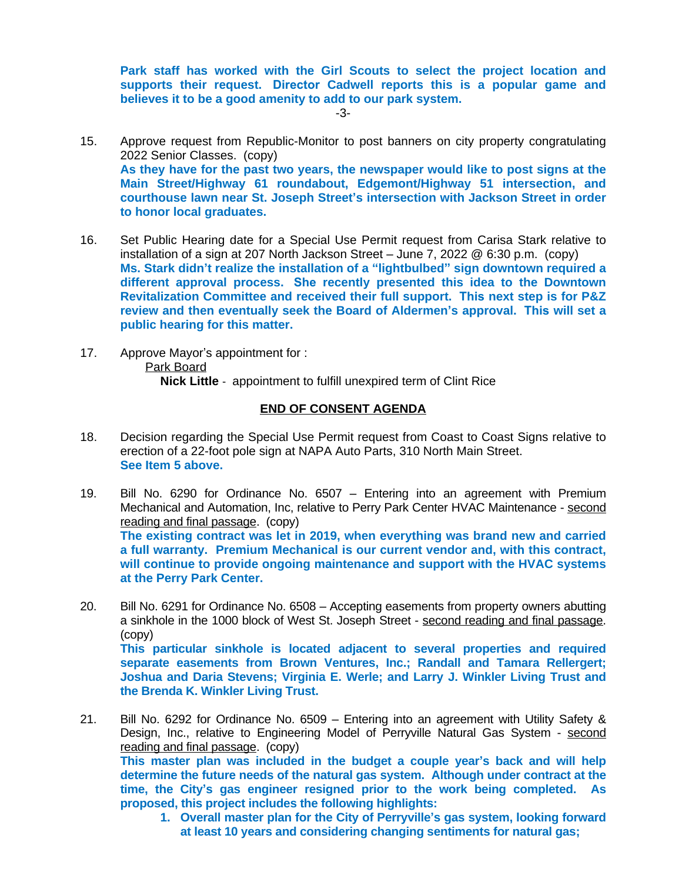**Park staff has worked with the Girl Scouts to select the project location and supports their request. Director Cadwell reports this is a popular game and believes it to be a good amenity to add to our park system.**

-3-

- 15. Approve request from Republic-Monitor to post banners on city property congratulating 2022 Senior Classes. (copy) **As they have for the past two years, the newspaper would like to post signs at the Main Street/Highway 61 roundabout, Edgemont/Highway 51 intersection, and courthouse lawn near St. Joseph Street's intersection with Jackson Street in order to honor local graduates.**
- 16. Set Public Hearing date for a Special Use Permit request from Carisa Stark relative to installation of a sign at 207 North Jackson Street – June 7, 2022 @ 6:30 p.m. (copy) **Ms. Stark didn't realize the installation of a "lightbulbed" sign downtown required a different approval process. She recently presented this idea to the Downtown Revitalization Committee and received their full support. This next step is for P&Z review and then eventually seek the Board of Aldermen's approval. This will set a public hearing for this matter.**
- 17. Approve Mayor's appointment for : Park Board **Nick Little** - appointment to fulfill unexpired term of Clint Rice

### **END OF CONSENT AGENDA**

- 18. Decision regarding the Special Use Permit request from Coast to Coast Signs relative to erection of a 22-foot pole sign at NAPA Auto Parts, 310 North Main Street. **See Item 5 above.**
- 19. Bill No. 6290 for Ordinance No. 6507 Entering into an agreement with Premium Mechanical and Automation, Inc, relative to Perry Park Center HVAC Maintenance - second reading and final passage. (copy) **The existing contract was let in 2019, when everything was brand new and carried a full warranty. Premium Mechanical is our current vendor and, with this contract, will continue to provide ongoing maintenance and support with the HVAC systems at the Perry Park Center.**
- 20. Bill No. 6291 for Ordinance No. 6508 Accepting easements from property owners abutting a sinkhole in the 1000 block of West St. Joseph Street - second reading and final passage. (copy) **This particular sinkhole is located adjacent to several properties and required separate easements from Brown Ventures, Inc.; Randall and Tamara Rellergert; Joshua and Daria Stevens; Virginia E. Werle; and Larry J. Winkler Living Trust and the Brenda K. Winkler Living Trust.**
- 21. Bill No. 6292 for Ordinance No. 6509 Entering into an agreement with Utility Safety & Design, Inc., relative to Engineering Model of Perryville Natural Gas System - second reading and final passage. (copy) **This master plan was included in the budget a couple year's back and will help determine the future needs of the natural gas system. Although under contract at the time, the City's gas engineer resigned prior to the work being completed. As proposed, this project includes the following highlights:**
	- **1. Overall master plan for the City of Perryville's gas system, looking forward at least 10 years and considering changing sentiments for natural gas;**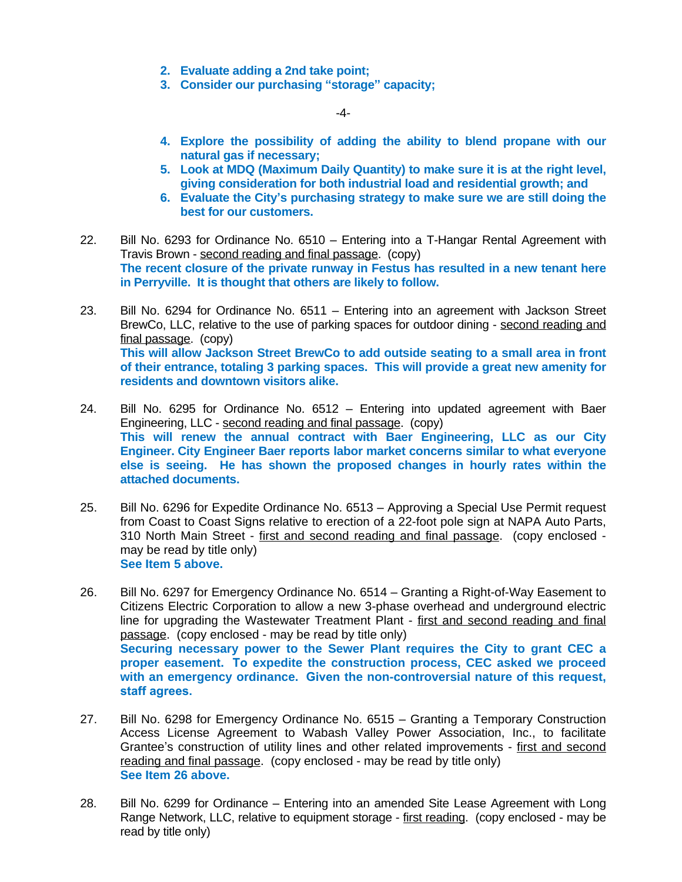- **2. Evaluate adding a 2nd take point;**
- **3. Consider our purchasing "storage" capacity;**

-4-

- **4. Explore the possibility of adding the ability to blend propane with our natural gas if necessary;**
- **5. Look at MDQ (Maximum Daily Quantity) to make sure it is at the right level, giving consideration for both industrial load and residential growth; and**
- **6. Evaluate the City's purchasing strategy to make sure we are still doing the best for our customers.**
- 22. Bill No. 6293 for Ordinance No. 6510 Entering into a T-Hangar Rental Agreement with Travis Brown - second reading and final passage. (copy) **The recent closure of the private runway in Festus has resulted in a new tenant here in Perryville. It is thought that others are likely to follow.**
- 23. Bill No. 6294 for Ordinance No. 6511 Entering into an agreement with Jackson Street BrewCo, LLC, relative to the use of parking spaces for outdoor dining - second reading and final passage. (copy) **This will allow Jackson Street BrewCo to add outside seating to a small area in front of their entrance, totaling 3 parking spaces. This will provide a great new amenity for residents and downtown visitors alike.**
- 24. Bill No. 6295 for Ordinance No. 6512 Entering into updated agreement with Baer Engineering, LLC - second reading and final passage. (copy) **This will renew the annual contract with Baer Engineering, LLC as our City Engineer. City Engineer Baer reports labor market concerns similar to what everyone else is seeing. He has shown the proposed changes in hourly rates within the attached documents.**
- 25. Bill No. 6296 for Expedite Ordinance No. 6513 Approving a Special Use Permit request from Coast to Coast Signs relative to erection of a 22-foot pole sign at NAPA Auto Parts, 310 North Main Street - first and second reading and final passage. (copy enclosed may be read by title only) **See Item 5 above.**
- 26. Bill No. 6297 for Emergency Ordinance No. 6514 Granting a Right-of-Way Easement to Citizens Electric Corporation to allow a new 3-phase overhead and underground electric line for upgrading the Wastewater Treatment Plant - first and second reading and final passage. (copy enclosed - may be read by title only) **Securing necessary power to the Sewer Plant requires the City to grant CEC a proper easement. To expedite the construction process, CEC asked we proceed with an emergency ordinance. Given the non-controversial nature of this request, staff agrees.**
- 27. Bill No. 6298 for Emergency Ordinance No. 6515 Granting a Temporary Construction Access License Agreement to Wabash Valley Power Association, Inc., to facilitate Grantee's construction of utility lines and other related improvements - first and second reading and final passage. (copy enclosed - may be read by title only) **See Item 26 above.**
- 28. Bill No. 6299 for Ordinance Entering into an amended Site Lease Agreement with Long Range Network, LLC, relative to equipment storage - first reading. (copy enclosed - may be read by title only)